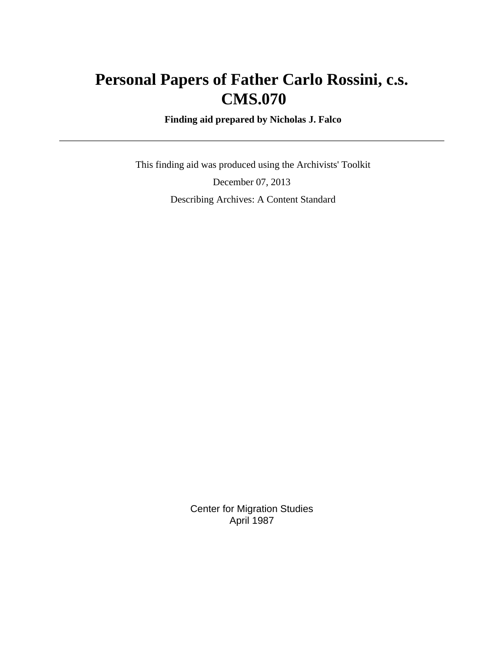# **Personal Papers of Father Carlo Rossini, c.s. CMS.070**

 **Finding aid prepared by Nicholas J. Falco**

 This finding aid was produced using the Archivists' Toolkit December 07, 2013 Describing Archives: A Content Standard

> Center for Migration Studies April 1987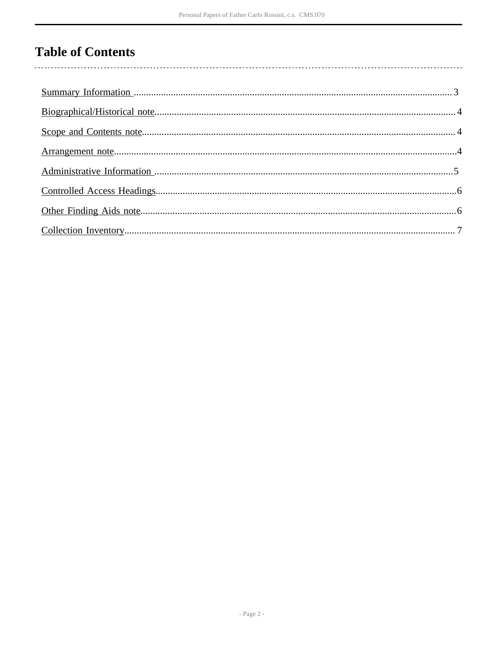# **Table of Contents**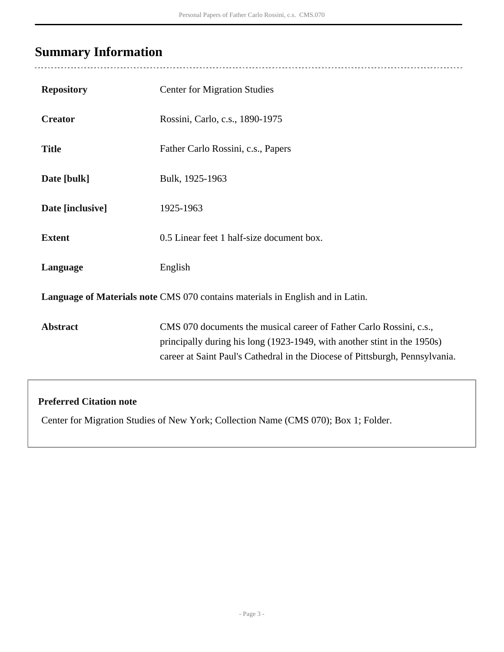# <span id="page-2-0"></span>**Summary Information**

| <b>Repository</b>                                                                   | <b>Center for Migration Studies</b>                                                                                                                                                                                             |  |  |  |  |
|-------------------------------------------------------------------------------------|---------------------------------------------------------------------------------------------------------------------------------------------------------------------------------------------------------------------------------|--|--|--|--|
| <b>Creator</b>                                                                      | Rossini, Carlo, c.s., 1890-1975                                                                                                                                                                                                 |  |  |  |  |
| <b>Title</b>                                                                        | Father Carlo Rossini, c.s., Papers                                                                                                                                                                                              |  |  |  |  |
| Date [bulk]                                                                         | Bulk, 1925-1963                                                                                                                                                                                                                 |  |  |  |  |
| Date [inclusive]                                                                    | 1925-1963                                                                                                                                                                                                                       |  |  |  |  |
| <b>Extent</b>                                                                       | 0.5 Linear feet 1 half-size document box.                                                                                                                                                                                       |  |  |  |  |
| Language                                                                            | English                                                                                                                                                                                                                         |  |  |  |  |
| Language of Materials note CMS 070 contains materials in English and in Latin.      |                                                                                                                                                                                                                                 |  |  |  |  |
| <b>Abstract</b>                                                                     | CMS 070 documents the musical career of Father Carlo Rossini, c.s.,<br>principally during his long (1923-1949, with another stint in the 1950s)<br>career at Saint Paul's Cathedral in the Diocese of Pittsburgh, Pennsylvania. |  |  |  |  |
| <b>Preferred Citation note</b>                                                      |                                                                                                                                                                                                                                 |  |  |  |  |
| Center for Migration Studies of New York; Collection Name (CMS 070); Box 1; Folder. |                                                                                                                                                                                                                                 |  |  |  |  |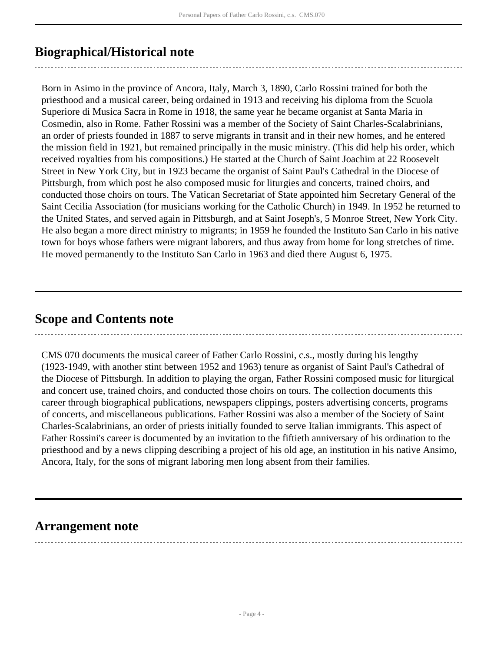## <span id="page-3-0"></span>**Biographical/Historical note**

Born in Asimo in the province of Ancora, Italy, March 3, 1890, Carlo Rossini trained for both the priesthood and a musical career, being ordained in 1913 and receiving his diploma from the Scuola Superiore di Musica Sacra in Rome in 1918, the same year he became organist at Santa Maria in Cosmedin, also in Rome. Father Rossini was a member of the Society of Saint Charles-Scalabrinians, an order of priests founded in 1887 to serve migrants in transit and in their new homes, and he entered the mission field in 1921, but remained principally in the music ministry. (This did help his order, which received royalties from his compositions.) He started at the Church of Saint Joachim at 22 Roosevelt Street in New York City, but in 1923 became the organist of Saint Paul's Cathedral in the Diocese of Pittsburgh, from which post he also composed music for liturgies and concerts, trained choirs, and conducted those choirs on tours. The Vatican Secretariat of State appointed him Secretary General of the Saint Cecilia Association (for musicians working for the Catholic Church) in 1949. In 1952 he returned to the United States, and served again in Pittsburgh, and at Saint Joseph's, 5 Monroe Street, New York City. He also began a more direct ministry to migrants; in 1959 he founded the Instituto San Carlo in his native town for boys whose fathers were migrant laborers, and thus away from home for long stretches of time. He moved permanently to the Instituto San Carlo in 1963 and died there August 6, 1975.

## <span id="page-3-1"></span>**Scope and Contents note**

CMS 070 documents the musical career of Father Carlo Rossini, c.s., mostly during his lengthy (1923-1949, with another stint between 1952 and 1963) tenure as organist of Saint Paul's Cathedral of the Diocese of Pittsburgh. In addition to playing the organ, Father Rossini composed music for liturgical and concert use, trained choirs, and conducted those choirs on tours. The collection documents this career through biographical publications, newspapers clippings, posters advertising concerts, programs of concerts, and miscellaneous publications. Father Rossini was also a member of the Society of Saint Charles-Scalabrinians, an order of priests initially founded to serve Italian immigrants. This aspect of Father Rossini's career is documented by an invitation to the fiftieth anniversary of his ordination to the priesthood and by a news clipping describing a project of his old age, an institution in his native Ansimo, Ancora, Italy, for the sons of migrant laboring men long absent from their families.

## <span id="page-3-2"></span>**Arrangement note**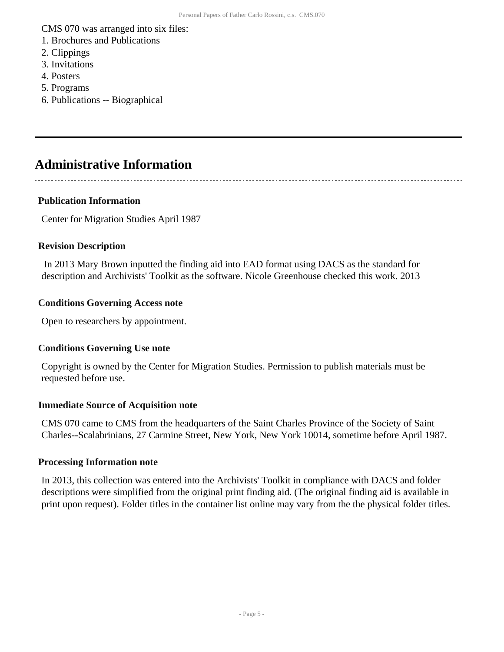CMS 070 was arranged into six files:

- 1. Brochures and Publications
- 2. Clippings
- 3. Invitations
- 4. Posters
- 5. Programs
- 6. Publications -- Biographical

## <span id="page-4-0"></span>**Administrative Information**

#### **Publication Information**

Center for Migration Studies April 1987

#### **Revision Description**

 In 2013 Mary Brown inputted the finding aid into EAD format using DACS as the standard for description and Archivists' Toolkit as the software. Nicole Greenhouse checked this work. 2013

#### **Conditions Governing Access note**

Open to researchers by appointment.

#### **Conditions Governing Use note**

Copyright is owned by the Center for Migration Studies. Permission to publish materials must be requested before use.

#### **Immediate Source of Acquisition note**

CMS 070 came to CMS from the headquarters of the Saint Charles Province of the Society of Saint Charles--Scalabrinians, 27 Carmine Street, New York, New York 10014, sometime before April 1987.

#### **Processing Information note**

In 2013, this collection was entered into the Archivists' Toolkit in compliance with DACS and folder descriptions were simplified from the original print finding aid. (The original finding aid is available in print upon request). Folder titles in the container list online may vary from the the physical folder titles.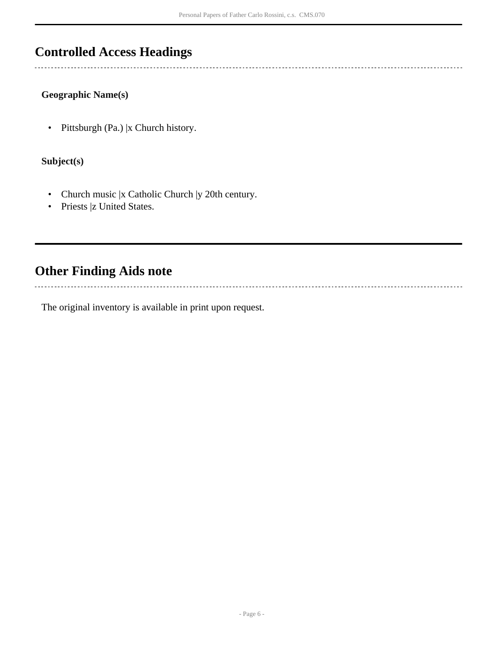## <span id="page-5-0"></span>**Controlled Access Headings**

#### **Geographic Name(s)**

• Pittsburgh (Pa.) |x Church history.

#### **Subject(s)**

- Church music |x Catholic Church |y 20th century.
- Priests |z United States.

## <span id="page-5-1"></span>**Other Finding Aids note**

 $\overline{a}$ 

The original inventory is available in print upon request.